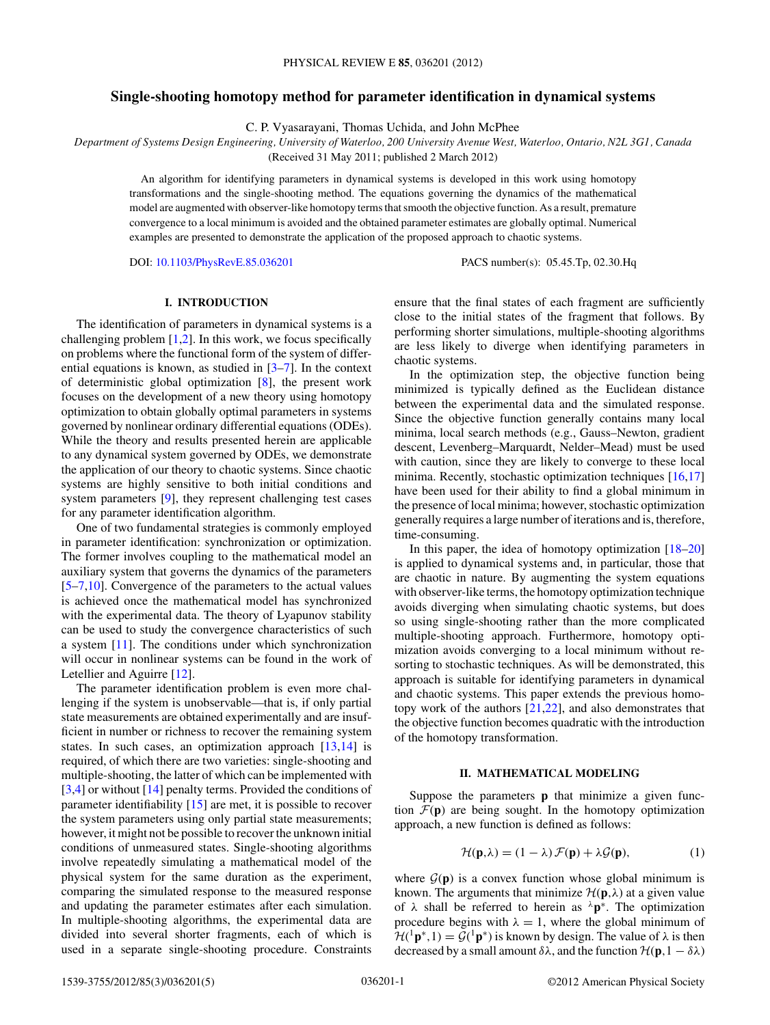# **Single-shooting homotopy method for parameter identification in dynamical systems**

C. P. Vyasarayani, Thomas Uchida, and John McPhee

*Department of Systems Design Engineering, University of Waterloo, 200 University Avenue West, Waterloo, Ontario, N2L 3G1, Canada*

(Received 31 May 2011; published 2 March 2012)

An algorithm for identifying parameters in dynamical systems is developed in this work using homotopy transformations and the single-shooting method. The equations governing the dynamics of the mathematical model are augmented with observer-like homotopy terms that smooth the objective function. As a result, premature convergence to a local minimum is avoided and the obtained parameter estimates are globally optimal. Numerical examples are presented to demonstrate the application of the proposed approach to chaotic systems.

DOI: [10.1103/PhysRevE.85.036201](http://dx.doi.org/10.1103/PhysRevE.85.036201) PACS number(s): 05*.*45*.*Tp, 02*.*30*.*Hq

# **I. INTRODUCTION**

The identification of parameters in dynamical systems is a challenging problem  $[1,2]$ . In this work, we focus specifically on problems where the functional form of the system of differential equations is known, as studied in [\[3–7\]](#page-4-0). In the context of deterministic global optimization [\[8\]](#page-4-0), the present work focuses on the development of a new theory using homotopy optimization to obtain globally optimal parameters in systems governed by nonlinear ordinary differential equations (ODEs). While the theory and results presented herein are applicable to any dynamical system governed by ODEs, we demonstrate the application of our theory to chaotic systems. Since chaotic systems are highly sensitive to both initial conditions and system parameters [\[9\]](#page-4-0), they represent challenging test cases for any parameter identification algorithm.

One of two fundamental strategies is commonly employed in parameter identification: synchronization or optimization. The former involves coupling to the mathematical model an auxiliary system that governs the dynamics of the parameters [\[5–7,10\]](#page-4-0). Convergence of the parameters to the actual values is achieved once the mathematical model has synchronized with the experimental data. The theory of Lyapunov stability can be used to study the convergence characteristics of such a system [\[11\]](#page-4-0). The conditions under which synchronization will occur in nonlinear systems can be found in the work of Letellier and Aguirre [\[12\]](#page-4-0).

The parameter identification problem is even more challenging if the system is unobservable—that is, if only partial state measurements are obtained experimentally and are insufficient in number or richness to recover the remaining system states. In such cases, an optimization approach  $[13,14]$  is required, of which there are two varieties: single-shooting and multiple-shooting, the latter of which can be implemented with [\[3,4\]](#page-4-0) or without [\[14\]](#page-4-0) penalty terms. Provided the conditions of parameter identifiability [\[15\]](#page-4-0) are met, it is possible to recover the system parameters using only partial state measurements; however, it might not be possible to recover the unknown initial conditions of unmeasured states. Single-shooting algorithms involve repeatedly simulating a mathematical model of the physical system for the same duration as the experiment, comparing the simulated response to the measured response and updating the parameter estimates after each simulation. In multiple-shooting algorithms, the experimental data are divided into several shorter fragments, each of which is used in a separate single-shooting procedure. Constraints ensure that the final states of each fragment are sufficiently close to the initial states of the fragment that follows. By performing shorter simulations, multiple-shooting algorithms are less likely to diverge when identifying parameters in chaotic systems.

In the optimization step, the objective function being minimized is typically defined as the Euclidean distance between the experimental data and the simulated response. Since the objective function generally contains many local minima, local search methods (e.g., Gauss–Newton, gradient descent, Levenberg–Marquardt, Nelder–Mead) must be used with caution, since they are likely to converge to these local minima. Recently, stochastic optimization techniques [\[16,17\]](#page-4-0) have been used for their ability to find a global minimum in the presence of local minima; however, stochastic optimization generally requires a large number of iterations and is, therefore, time-consuming.

In this paper, the idea of homotopy optimization  $[18–20]$ is applied to dynamical systems and, in particular, those that are chaotic in nature. By augmenting the system equations with observer-like terms, the homotopy optimization technique avoids diverging when simulating chaotic systems, but does so using single-shooting rather than the more complicated multiple-shooting approach. Furthermore, homotopy optimization avoids converging to a local minimum without resorting to stochastic techniques. As will be demonstrated, this approach is suitable for identifying parameters in dynamical and chaotic systems. This paper extends the previous homotopy work of the authors [\[21,22\]](#page-4-0), and also demonstrates that the objective function becomes quadratic with the introduction of the homotopy transformation.

## **II. MATHEMATICAL MODELING**

Suppose the parameters **p** that minimize a given function  $\mathcal{F}(\mathbf{p})$  are being sought. In the homotopy optimization approach, a new function is defined as follows:

$$
\mathcal{H}(\mathbf{p},\lambda) = (1-\lambda)\,\mathcal{F}(\mathbf{p}) + \lambda\mathcal{G}(\mathbf{p}),\tag{1}
$$

where  $G(p)$  is a convex function whose global minimum is known. The arguments that minimize  $\mathcal{H}(\mathbf{p},\lambda)$  at a given value of  $\lambda$  shall be referred to herein as  $\lambda$ **p**<sup>\*</sup>. The optimization procedure begins with  $\lambda = 1$ , where the global minimum of  $H({}^{1}\mathbf{p}^*,1) = \mathcal{G}({}^{1}\mathbf{p}^*)$  is known by design. The value of  $\lambda$  is then decreased by a small amount  $\delta\lambda$ , and the function  $\mathcal{H}(\mathbf{p}, 1 - \delta\lambda)$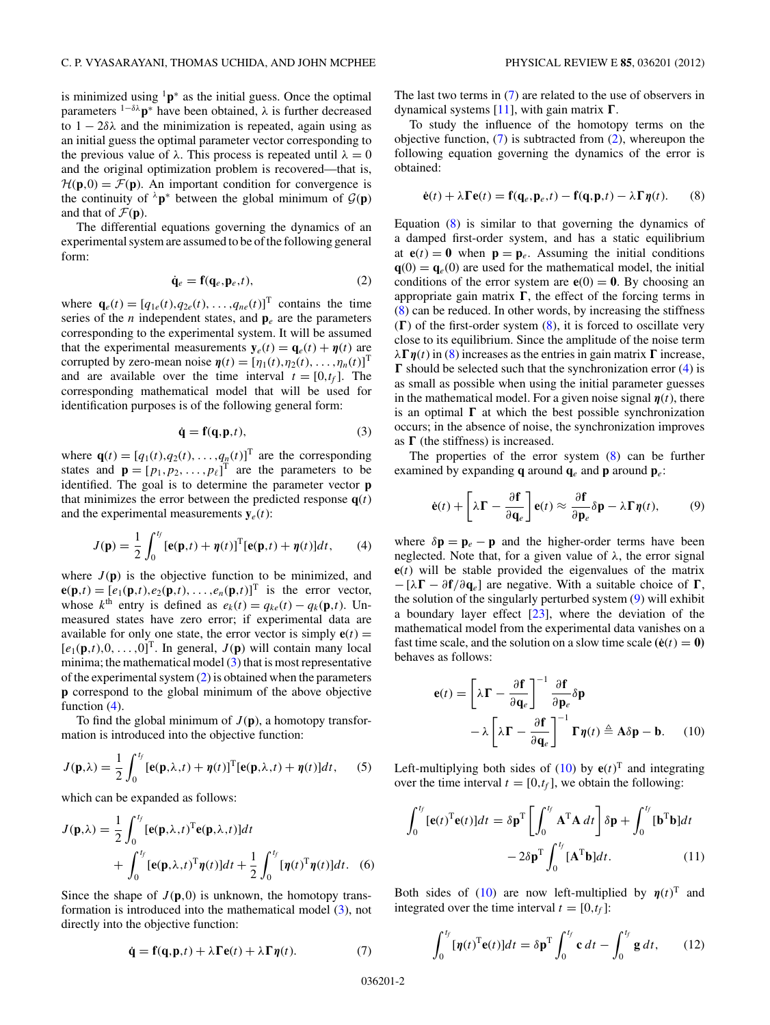<span id="page-1-0"></span>is minimized using  $1\mathbf{p}^*$  as the initial guess. Once the optimal parameters <sup>1</sup>−*δλ***p**<sup>∗</sup> have been obtained, *λ* is further decreased to  $1 - 2\delta\lambda$  and the minimization is repeated, again using as an initial guess the optimal parameter vector corresponding to the previous value of  $\lambda$ . This process is repeated until  $\lambda = 0$ and the original optimization problem is recovered—that is,  $\mathcal{H}(\mathbf{p},0) = \mathcal{F}(\mathbf{p})$ . An important condition for convergence is the continuity of  $\lambda$ **p**<sup>\*</sup> between the global minimum of  $\mathcal{G}(\mathbf{p})$ and that of  $\mathcal{F}(\mathbf{p})$ .

The differential equations governing the dynamics of an experimental system are assumed to be of the following general form:

$$
\dot{\mathbf{q}}_e = \mathbf{f}(\mathbf{q}_e, \mathbf{p}_e, t),\tag{2}
$$

where  $\mathbf{q}_e(t) = [q_{1e}(t), q_{2e}(t), \dots, q_{ne}(t)]^T$  contains the time series of the *n* independent states, and  $\mathbf{p}_e$  are the parameters corresponding to the experimental system. It will be assumed that the experimental measurements  $y_e(t) = q_e(t) + \eta(t)$  are corrupted by zero-mean noise  $\boldsymbol{\eta}(t) = [\eta_1(t), \eta_2(t), \dots, \eta_n(t)]^T$ and are available over the time interval  $t = [0, t_f]$ . The corresponding mathematical model that will be used for identification purposes is of the following general form:

$$
\dot{\mathbf{q}} = \mathbf{f}(\mathbf{q}, \mathbf{p}, t),\tag{3}
$$

where  $\mathbf{q}(t) = [q_1(t), q_2(t), \dots, q_n(t)]^T$  are the corresponding states and  $\mathbf{p} = [p_1, p_2, \dots, p_\ell]^T$  are the parameters to be identified. The goal is to determine the parameter vector **p** that minimizes the error between the predicted response  $q(t)$ and the experimental measurements  $y_e(t)$ :

$$
J(\mathbf{p}) = \frac{1}{2} \int_0^{t_f} [\mathbf{e}(\mathbf{p}, t) + \eta(t)]^{\mathrm{T}} [\mathbf{e}(\mathbf{p}, t) + \eta(t)] dt, \qquad (4)
$$

where  $J(\mathbf{p})$  is the objective function to be minimized, and  $\mathbf{e}(\mathbf{p},t) = [e_1(\mathbf{p},t),e_2(\mathbf{p},t),\ldots,e_n(\mathbf{p},t)]^T$  is the error vector, whose  $k^{\text{th}}$  entry is defined as  $e_k(t) = q_{k}e(t) - q_k(\mathbf{p},t)$ . Unmeasured states have zero error; if experimental data are available for only one state, the error vector is simply  $e(t) =$  $[e_1(\mathbf{p},t),0,\ldots,0]^T$ . In general,  $J(\mathbf{p})$  will contain many local minima; the mathematical model  $(3)$  that is most representative of the experimental system  $(2)$  is obtained when the parameters **p** correspond to the global minimum of the above objective function  $(4)$ .

To find the global minimum of  $J(p)$ , a homotopy transformation is introduced into the objective function:

$$
J(\mathbf{p},\lambda) = \frac{1}{2} \int_0^{t_f} [\mathbf{e}(\mathbf{p},\lambda,t) + \eta(t)]^{\mathrm{T}} [\mathbf{e}(\mathbf{p},\lambda,t) + \eta(t)] dt, \quad (5)
$$

which can be expanded as follows:

$$
J(\mathbf{p}, \lambda) = \frac{1}{2} \int_0^{t_f} [\mathbf{e}(\mathbf{p}, \lambda, t)^{\mathrm{T}} \mathbf{e}(\mathbf{p}, \lambda, t)] dt + \int_0^{t_f} [\mathbf{e}(\mathbf{p}, \lambda, t)^{\mathrm{T}} \boldsymbol{\eta}(t)] dt + \frac{1}{2} \int_0^{t_f} [\boldsymbol{\eta}(t)^{\mathrm{T}} \boldsymbol{\eta}(t)] dt.
$$
 (6)

Since the shape of  $J(\mathbf{p},0)$  is unknown, the homotopy transformation is introduced into the mathematical model (3), not directly into the objective function:

$$
\dot{\mathbf{q}} = \mathbf{f}(\mathbf{q}, \mathbf{p}, t) + \lambda \mathbf{\Gamma} \mathbf{e}(t) + \lambda \mathbf{\Gamma} \mathbf{\eta}(t). \tag{7}
$$

The last two terms in (7) are related to the use of observers in dynamical systems [\[11\]](#page-4-0), with gain matrix  $\Gamma$ .

To study the influence of the homotopy terms on the objective function,  $(7)$  is subtracted from  $(2)$ , whereupon the following equation governing the dynamics of the error is obtained:

$$
\dot{\mathbf{e}}(t) + \lambda \mathbf{\Gamma} \mathbf{e}(t) = \mathbf{f}(\mathbf{q}_e, \mathbf{p}_e, t) - \mathbf{f}(\mathbf{q}, \mathbf{p}, t) - \lambda \mathbf{\Gamma} \eta(t). \tag{8}
$$

Equation (8) is similar to that governing the dynamics of a damped first-order system, and has a static equilibrium at  $e(t) = 0$  when  $p = p_e$ . Assuming the initial conditions  $q(0) = q_e(0)$  are used for the mathematical model, the initial conditions of the error system are  $e(0) = 0$ . By choosing an appropriate gain matrix  $\Gamma$ , the effect of the forcing terms in (8) can be reduced. In other words, by increasing the stiffness  $(\Gamma)$  of the first-order system  $(8)$ , it is forced to oscillate very close to its equilibrium. Since the amplitude of the noise term  $\lambda \Gamma \eta(t)$  in (8) increases as the entries in gain matrix  $\Gamma$  increase,  $\Gamma$  should be selected such that the synchronization error (4) is as small as possible when using the initial parameter guesses in the mathematical model. For a given noise signal  $\eta(t)$ , there is an optimal  $\Gamma$  at which the best possible synchronization occurs; in the absence of noise, the synchronization improves as  $\Gamma$  (the stiffness) is increased.

The properties of the error system  $(8)$  can be further examined by expanding **q** around  $q_e$  and **p** around  $p_e$ :

$$
\dot{\mathbf{e}}(t) + \left[\lambda \mathbf{\Gamma} - \frac{\partial \mathbf{f}}{\partial \mathbf{q}_{e}}\right] \mathbf{e}(t) \approx \frac{\partial \mathbf{f}}{\partial \mathbf{p}_{e}} \delta \mathbf{p} - \lambda \mathbf{\Gamma} \mathbf{\eta}(t), \quad (9)
$$

where  $\delta \mathbf{p} = \mathbf{p}_e - \mathbf{p}$  and the higher-order terms have been neglected. Note that, for a given value of *λ*, the error signal **e**(*t*) will be stable provided the eigenvalues of the matrix  $- [\lambda \mathbf{\Gamma} - \partial \mathbf{f}/\partial \mathbf{q}_e]$  are negative. With a suitable choice of  $\mathbf{\Gamma}$ , the solution of the singularly perturbed system (9) will exhibit a boundary layer effect  $[23]$ , where the deviation of the mathematical model from the experimental data vanishes on a fast time scale, and the solution on a slow time scale  $(\dot{\mathbf{e}}(t) = \mathbf{0})$ behaves as follows:

$$
\mathbf{e}(t) = \left[\lambda \mathbf{\Gamma} - \frac{\partial \mathbf{f}}{\partial \mathbf{q}_e}\right]^{-1} \frac{\partial \mathbf{f}}{\partial \mathbf{p}_e} \delta \mathbf{p} \n- \lambda \left[\lambda \mathbf{\Gamma} - \frac{\partial \mathbf{f}}{\partial \mathbf{q}_e}\right]^{-1} \mathbf{\Gamma} \mathbf{\eta}(t) \triangleq \mathbf{A} \delta \mathbf{p} - \mathbf{b}.
$$
\n(10)

Left-multiplying both sides of  $(10)$  by  $e(t)^T$  and integrating over the time interval  $t = [0, t_f]$ , we obtain the following:

$$
\int_0^{t_f} [\mathbf{e}(t)^{\mathrm{T}} \mathbf{e}(t)] dt = \delta \mathbf{p}^{\mathrm{T}} \left[ \int_0^{t_f} \mathbf{A}^{\mathrm{T}} \mathbf{A} dt \right] \delta \mathbf{p} + \int_0^{t_f} [\mathbf{b}^{\mathrm{T}} \mathbf{b}] dt
$$

$$
- 2\delta \mathbf{p}^{\mathrm{T}} \int_0^{t_f} [\mathbf{A}^{\mathrm{T}} \mathbf{b}] dt. \tag{11}
$$

Both sides of (10) are now left-multiplied by  $\eta(t)^T$  and integrated over the time interval  $t = [0, t_f]$ :

$$
\int_0^{t_f} [\boldsymbol{\eta}(t)^{\mathrm{T}} \mathbf{e}(t)] dt = \delta \mathbf{p}^{\mathrm{T}} \int_0^{t_f} \mathbf{c} dt - \int_0^{t_f} \mathbf{g} dt,
$$
 (12)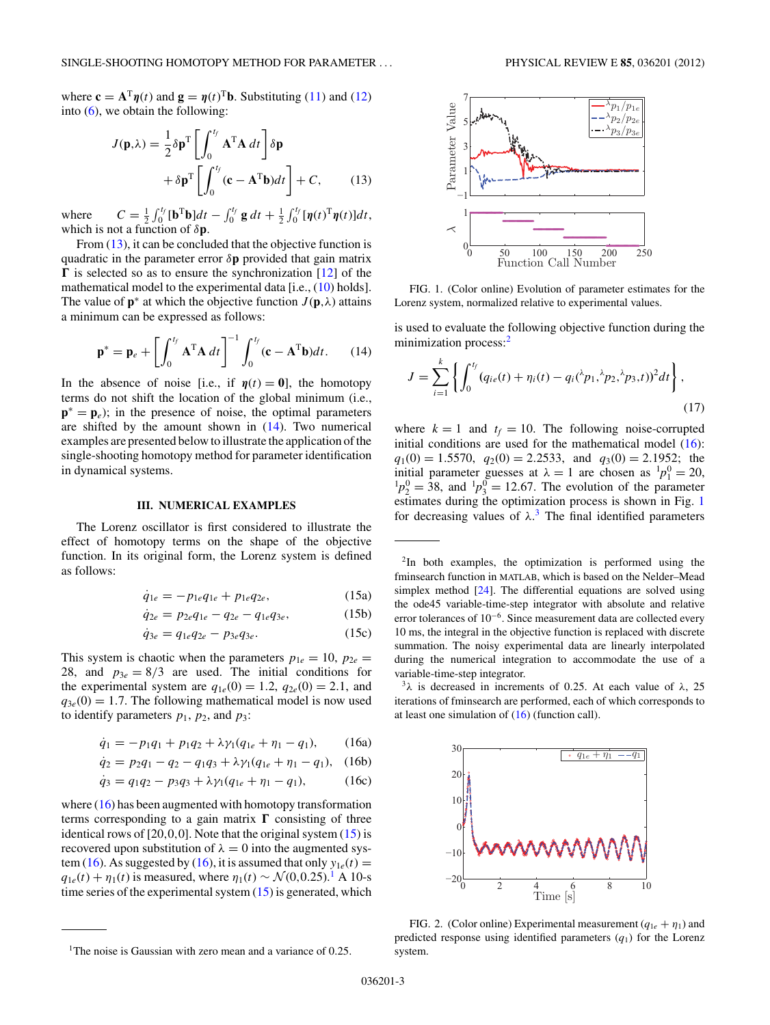<span id="page-2-0"></span>where  $\mathbf{c} = \mathbf{A}^T \boldsymbol{\eta}(t)$  and  $\mathbf{g} = \boldsymbol{\eta}(t)^T \mathbf{b}$ . Substituting [\(11\)](#page-1-0) and [\(12\)](#page-1-0) into  $(6)$ , we obtain the following:

$$
J(\mathbf{p}, \lambda) = \frac{1}{2} \delta \mathbf{p}^{T} \left[ \int_{0}^{t_{f}} \mathbf{A}^{T} \mathbf{A} dt \right] \delta \mathbf{p} + \delta \mathbf{p}^{T} \left[ \int_{0}^{t_{f}} (\mathbf{c} - \mathbf{A}^{T} \mathbf{b}) dt \right] + C, \quad (13)
$$

where  $C = \frac{1}{2} \int_0^{t_f} [\mathbf{b}^T \mathbf{b}] dt - \int_0^{t_f} \mathbf{g} dt + \frac{1}{2} \int_0^{t_f} [\mathbf{\eta}(t)^T \mathbf{\eta}(t)] dt$ , which is not a function of *δ***p**.

From  $(13)$ , it can be concluded that the objective function is quadratic in the parameter error *δ***p** provided that gain matrix  $\Gamma$  is selected so as to ensure the synchronization [\[12\]](#page-4-0) of the mathematical model to the experimental data [i.e., [\(10\)](#page-1-0) holds]. The value of  $\mathbf{p}^*$  at which the objective function  $J(\mathbf{p},\lambda)$  attains a minimum can be expressed as follows:

$$
\mathbf{p}^* = \mathbf{p}_e + \left[ \int_0^{t_f} \mathbf{A}^{\mathrm{T}} \mathbf{A} dt \right]^{-1} \int_0^{t_f} (\mathbf{c} - \mathbf{A}^{\mathrm{T}} \mathbf{b}) dt. \tag{14}
$$

In the absence of noise [i.e., if  $\eta(t) = 0$ ], the homotopy terms do not shift the location of the global minimum (i.e.,  $\mathbf{p}^* = \mathbf{p}_e$ ; in the presence of noise, the optimal parameters are shifted by the amount shown in  $(14)$ . Two numerical examples are presented below to illustrate the application of the single-shooting homotopy method for parameter identification in dynamical systems.

#### **III. NUMERICAL EXAMPLES**

The Lorenz oscillator is first considered to illustrate the effect of homotopy terms on the shape of the objective function. In its original form, the Lorenz system is defined as follows:

$$
\dot{q}_{1e} = -p_{1e}q_{1e} + p_{1e}q_{2e}, \qquad (15a)
$$

$$
\dot{q}_{2e} = p_{2e}q_{1e} - q_{2e} - q_{1e}q_{3e}, \qquad (15b)
$$

$$
\dot{q}_{3e} = q_{1e}q_{2e} - p_{3e}q_{3e}.\tag{15c}
$$

This system is chaotic when the parameters  $p_{1e} = 10$ ,  $p_{2e} =$ 28, and  $p_{3e} = 8/3$  are used. The initial conditions for the experimental system are  $q_{1e}(0) = 1.2$ ,  $q_{2e}(0) = 2.1$ , and  $q_{3e}(0) = 1.7$ . The following mathematical model is now used to identify parameters  $p_1$ ,  $p_2$ , and  $p_3$ :

$$
\dot{q}_1 = -p_1 q_1 + p_1 q_2 + \lambda \gamma_1 (q_{1e} + \eta_1 - q_1), \qquad (16a)
$$

$$
\dot{q}_2 = p_2 q_1 - q_2 - q_1 q_3 + \lambda \gamma_1 (q_{1e} + \eta_1 - q_1), \quad (16b)
$$

$$
\dot{q}_3 = q_1 q_2 - p_3 q_3 + \lambda \gamma_1 (q_{1e} + \eta_1 - q_1), \tag{16c}
$$

where  $(16)$  has been augmented with homotopy transformation terms corresponding to a gain matrix  $\Gamma$  consisting of three identical rows of [20*,*0*,*0]. Note that the original system (15) is recovered upon substitution of  $\lambda = 0$  into the augmented system (16). As suggested by (16), it is assumed that only  $y_{1e}(t) =$  $q_{1e}(t) + \eta_1(t)$  is measured, where  $\eta_1(t) \sim \mathcal{N}(0, 0.25)$ .<sup>1</sup> A 10-s time series of the experimental system  $(15)$  is generated, which



FIG. 1. (Color online) Evolution of parameter estimates for the Lorenz system, normalized relative to experimental values.

is used to evaluate the following objective function during the minimization process:<sup>2</sup>

$$
J = \sum_{i=1}^{k} \left\{ \int_0^{t_f} (q_{ie}(t) + \eta_i(t) - q_i(\lambda p_1, \lambda p_2, \lambda p_3, t))^2 dt \right\},\tag{17}
$$

where  $k = 1$  and  $t_f = 10$ . The following noise-corrupted initial conditions are used for the mathematical model  $(16)$ :  $q_1(0) = 1.5570$ ,  $q_2(0) = 2.2533$ , and  $q_3(0) = 2.1952$ ; the initial parameter guesses at  $\lambda = 1$  are chosen as  ${}^{1}p_{1}^{0} = 20$ ,  ${}^{1}p_{2}^{0} = 38$ , and  ${}^{1}p_{3}^{0} = 12.67$ . The evolution of the parameter estimates during the optimization process is shown in Fig. 1 for decreasing values of  $\lambda$ .<sup>3</sup> The final identified parameters

2In both examples, the optimization is performed using the fminsearch function in MATLAB, which is based on the Nelder–Mead simplex method [\[24\]](#page-4-0). The differential equations are solved using the ode45 variable-time-step integrator with absolute and relative error tolerances of 10−6. Since measurement data are collected every 10 ms, the integral in the objective function is replaced with discrete summation. The noisy experimental data are linearly interpolated during the numerical integration to accommodate the use of a variable-time-step integrator.

<sup>3</sup>λ is decreased in increments of 0.25. At each value of  $λ$ , 25 iterations of fminsearch are performed, each of which corresponds to at least one simulation of  $(16)$  (function call).



FIG. 2. (Color online) Experimental measurement  $(q_{1e} + \eta_1)$  and predicted response using identified parameters  $(q_1)$  for the Lorenz system.

<sup>1</sup>The noise is Gaussian with zero mean and a variance of 0*.*25.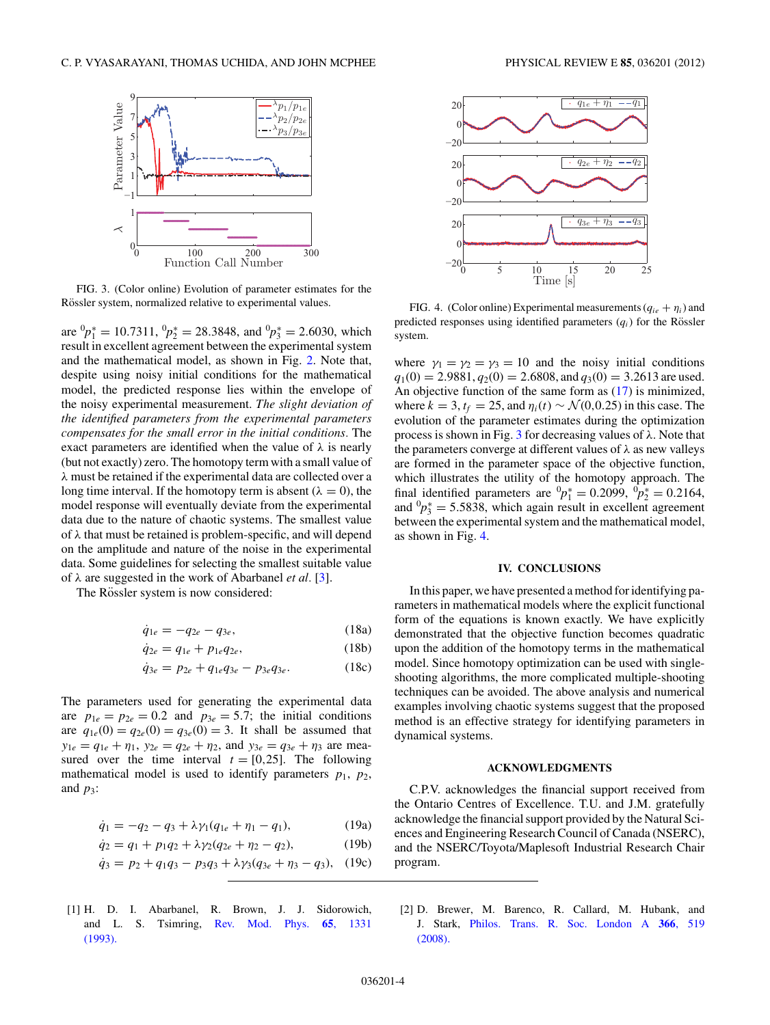<span id="page-3-0"></span>

FIG. 3. (Color online) Evolution of parameter estimates for the Rössler system, normalized relative to experimental values.

are  ${}^{0}p_{1}^{*} = 10.7311, {}^{0}p_{2}^{*} = 28.3848$ , and  ${}^{0}p_{3}^{*} = 2.6030$ , which result in excellent agreement between the experimental system and the mathematical model, as shown in Fig. [2.](#page-2-0) Note that, despite using noisy initial conditions for the mathematical model, the predicted response lies within the envelope of the noisy experimental measurement. *The slight deviation of the identified parameters from the experimental parameters compensates for the small error in the initial conditions.* The exact parameters are identified when the value of  $\lambda$  is nearly (but not exactly) zero. The homotopy term with a small value of *λ* must be retained if the experimental data are collected over a long time interval. If the homotopy term is absent  $(\lambda = 0)$ , the model response will eventually deviate from the experimental data due to the nature of chaotic systems. The smallest value of *λ* that must be retained is problem-specific, and will depend on the amplitude and nature of the noise in the experimental data. Some guidelines for selecting the smallest suitable value of *λ* are suggested in the work of Abarbanel *et al.* [\[3\]](#page-4-0).

The Rössler system is now considered:

$$
\dot{q}_{1e} = -q_{2e} - q_{3e},\tag{18a}
$$

$$
\dot{q}_{2e} = q_{1e} + p_{1e}q_{2e},\tag{18b}
$$

$$
\dot{q}_{3e} = p_{2e} + q_{1e}q_{3e} - p_{3e}q_{3e}.
$$
 (18c)

The parameters used for generating the experimental data are  $p_{1e} = p_{2e} = 0.2$  and  $p_{3e} = 5.7$ ; the initial conditions are  $q_{1e}(0) = q_{2e}(0) = q_{3e}(0) = 3$ . It shall be assumed that  $y_{1e} = q_{1e} + \eta_1$ ,  $y_{2e} = q_{2e} + \eta_2$ , and  $y_{3e} = q_{3e} + \eta_3$  are measured over the time interval  $t = [0,25]$ . The following mathematical model is used to identify parameters  $p_1$ ,  $p_2$ , and  $p_3$ :

$$
\dot{q}_1 = -q_2 - q_3 + \lambda \gamma_1 (q_{1e} + \eta_1 - q_1), \tag{19a}
$$

$$
\dot{q}_2 = q_1 + p_1 q_2 + \lambda \gamma_2 (q_{2e} + \eta_2 - q_2), \tag{19b}
$$

$$
\dot{q}_3 = p_2 + q_1 q_3 - p_3 q_3 + \lambda \gamma_3 (q_{3e} + \eta_3 - q_3), \quad (19c)
$$

[1] H. D. I. Abarbanel, R. Brown, J. J. Sidorowich, and L. S. Tsimring, [Rev. Mod. Phys.](http://dx.doi.org/10.1103/RevModPhys.65.1331) **65**, 1331 [\(1993\).](http://dx.doi.org/10.1103/RevModPhys.65.1331)



FIG. 4. (Color online) Experimental measurements  $(q_{ie} + \eta_i)$  and predicted responses using identified parameters  $(q<sub>i</sub>)$  for the Rössler system.

where  $\gamma_1 = \gamma_2 = \gamma_3 = 10$  and the noisy initial conditions  $q_1(0) = 2.9881, q_2(0) = 2.6808$ , and  $q_3(0) = 3.2613$  are used. An objective function of the same form as [\(17\)](#page-2-0) is minimized, where  $k = 3$ ,  $t_f = 25$ , and  $\eta_i(t) \sim \mathcal{N}(0, 0.25)$  in this case. The evolution of the parameter estimates during the optimization process is shown in Fig. 3 for decreasing values of *λ*. Note that the parameters converge at different values of *λ* as new valleys are formed in the parameter space of the objective function, which illustrates the utility of the homotopy approach. The final identified parameters are  ${}^{0}p_{1}^{*} = 0.2099, {}^{0}p_{2}^{*} = 0.2164$ , and  ${}^{0}P_{3}^{*} = 5.5838$ , which again result in excellent agreement between the experimental system and the mathematical model, as shown in Fig. 4.

### **IV. CONCLUSIONS**

In this paper, we have presented a method for identifying parameters in mathematical models where the explicit functional form of the equations is known exactly. We have explicitly demonstrated that the objective function becomes quadratic upon the addition of the homotopy terms in the mathematical model. Since homotopy optimization can be used with singleshooting algorithms, the more complicated multiple-shooting techniques can be avoided. The above analysis and numerical examples involving chaotic systems suggest that the proposed method is an effective strategy for identifying parameters in dynamical systems.

### **ACKNOWLEDGMENTS**

C.P.V. acknowledges the financial support received from the Ontario Centres of Excellence. T.U. and J.M. gratefully acknowledge the financial support provided by the Natural Sciences and Engineering Research Council of Canada (NSERC), and the NSERC/Toyota/Maplesoft Industrial Research Chair program.

[2] D. Brewer, M. Barenco, R. Callard, M. Hubank, and J. Stark, [Philos. Trans. R. Soc. London A](http://dx.doi.org/10.1098/rsta.2007.2108) **366**, 519 [\(2008\).](http://dx.doi.org/10.1098/rsta.2007.2108)